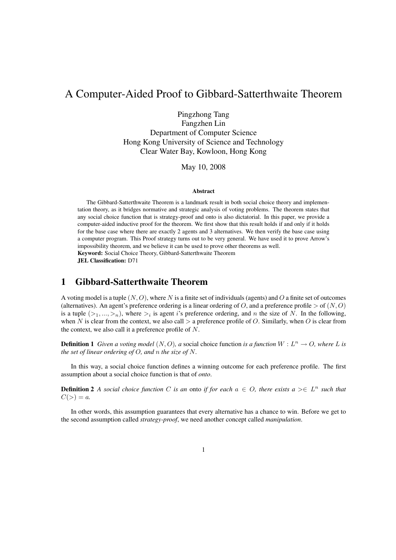# A Computer-Aided Proof to Gibbard-Satterthwaite Theorem

Pingzhong Tang

Fangzhen Lin Department of Computer Science Hong Kong University of Science and Technology Clear Water Bay, Kowloon, Hong Kong

May 10, 2008

#### **Abstract**

The Gibbard-Satterthwaite Theorem is a landmark result in both social choice theory and implementation theory, as it bridges normative and strategic analysis of voting problems. The theorem states that any social choice function that is strategy-proof and onto is also dictatorial. In this paper, we provide a computer-aided inductive proof for the theorem. We first show that this result holds if and only if it holds for the base case where there are exactly 2 agents and 3 alternatives. We then verify the base case using a computer program. This Proof strategy turns out to be very general. We have used it to prove Arrow's impossibility theorem, and we believe it can be used to prove other theorems as well. Keyword: Social Choice Theory, Gibbard-Satterthwaite Theorem

JEL Classification: D71

### 1 Gibbard-Satterthwaite Theorem

A voting model is a tuple  $(N, O)$ , where N is a finite set of individuals (agents) and O a finite set of outcomes (alternatives). An agent's preference ordering is a linear ordering of O, and a preference profile  $>$  of  $(N, O)$ is a tuple  $(\geq_1, ..., \geq_n)$ , where  $\geq_i$  is agent is preference ordering, and n the size of N. In the following, when N is clear from the context, we also call  $>$  a preference profile of O. Similarly, when O is clear from the context, we also call it a preference profile of N.

**Definition 1** Given a voting model  $(N, O)$ , a social choice function is a function  $W : L^n \to O$ , where L is *the set of linear ordering of* O*, and* n *the size of* N*.*

In this way, a social choice function defines a winning outcome for each preference profile. The first assumption about a social choice function is that of *onto*.

**Definition 2** A social choice function C is an onto if for each  $a \in O$ , there exists  $a \geq \in L^n$  such that  $C(>) = a.$ 

In other words, this assumption guarantees that every alternative has a chance to win. Before we get to the second assumption called *strategy-proof*, we need another concept called *manipulation*.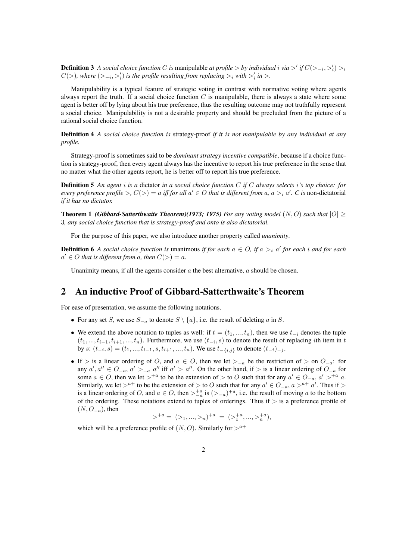**Definition 3** *A social choice function C* is manipulable *at profile* > *by individual i via* >' *if*  $C(\geq_{-i}, \geq'_i) >_i$  $C(>)$ , where  $(>_{-i},>'_{i})$  is the profile resulting from replacing  $>_{i}$  with  $>'_{i}$  in  $>$ .

Manipulability is a typical feature of strategic voting in contrast with normative voting where agents always report the truth. If a social choice function  $C$  is manipulable, there is always a state where some agent is better off by lying about his true preference, thus the resulting outcome may not truthfully represent a social choice. Manipulability is not a desirable property and should be precluded from the picture of a rational social choice function.

Definition 4 *A social choice function is* strategy-proof *if it is not manipulable by any individual at any profile.*

Strategy-proof is sometimes said to be *dominant strategy incentive compatible*, because if a choice function is strategy-proof, then every agent always has the incentive to report his true preference in the sense that no matter what the other agents report, he is better off to report his true preference.

Definition 5 *An agent* i *is a* dictator *in a social choice function* C *if* C *always selects* i*'s top choice: for every preference profile*  $>$ ,  $C(>) = a$  *iff for all*  $a' \in O$  *that is different from*  $a$ ,  $a >_i a'$ .  $C$  *is* non-dictatorial *if it has no dictator.*

**Theorem 1** *(Gibbard-Satterthwaite Theorem)***(1973; 1975)** For any voting model  $(N, O)$  such that  $|O| \ge$ 3*, any social choice function that is strategy-proof and onto is also dictatorial.*

For the purpose of this paper, we also introduce another property called *unanimity*.

**Definition 6** A social choice function is unanimous if for each  $a \in O$ , if  $a >_i a'$  for each i and for each  $a' \in O$  *that is different from a, then*  $C(>) = a$ *.* 

Unanimity means, if all the agents consider  $\alpha$  the best alternative,  $\alpha$  should be chosen.

### 2 An inductive Proof of Gibbard-Satterthwaite's Theorem

For ease of presentation, we assume the following notations.

- For any set S, we use  $S_{-a}$  to denote  $S \setminus \{a\}$ , i.e. the result of deleting a in S.
- We extend the above notation to tuples as well: if  $t = (t_1, ..., t_n)$ , then we use  $t_{-i}$  denotes the tuple  $(t_1, ..., t_{i-1}, t_{i+1}, ..., t_n)$ . Furthermore, we use  $(t_{-i}, s)$  to denote the result of replacing *i*th item in t by  $s: (t_{-i}, s) = (t_1, ..., t_{i-1}, s, t_{i+1}, ..., t_n)$ . We use  $t_{-\{i,j\}}$  to denote  $(t_{-i})_{-j}$ .
- If > is a linear ordering of O, and  $a \in O$ , then we let  $\geq_{-a}$  be the restriction of > on  $O_{-a}$ : for any  $a', a'' \in O_{-a}, a' >_{-a} a''$  iff  $a' > a''$ . On the other hand, if > is a linear ordering of  $O_{-a}$  for some  $a \in O$ , then we let  $>^{+a}$  to be the extension of  $>$  to O such that for any  $a' \in O_{-a}$ ,  $a' >^{+a} a$ . Similarly, we let  $>^{a+}$  to be the extension of  $>$  to O such that for any  $a' \in O_{-a}$ ,  $a >^{a+} a'$ . Thus if  $>$ is a linear ordering of O, and  $a \in O$ , then  $\gt_{-a}^{\dagger a}$  is  $(\gt_{-a})^{\dagger a}$ , i.e. the result of moving a to the bottom of the ordering. These notations extend to tuples of orderings. Thus if  $>$  is a preference profile of  $(N, O_{-a})$ , then

$$
\gt^{+a} = (a_1, \ldots, a_n)^{+a} = (a_1 + a_2, \ldots, a_n + a_n),
$$

which will be a preference profile of  $(N, O)$ . Similarly for  $>^{a+}$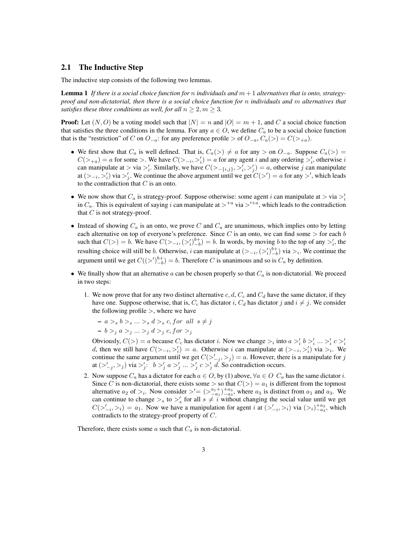### 2.1 The Inductive Step

The inductive step consists of the following two lemmas.

**Lemma 1** If there is a social choice function for n individuals and  $m + 1$  alternatives that is onto, strategy*proof and non-dictatorial, then there is a social choice function for* n *individuals and* m *alternatives that satisfies these three conditions as well, for all*  $n \geq 2, m \geq 3$ *.* 

**Proof:** Let  $(N, O)$  be a voting model such that  $|N| = n$  and  $|O| = m + 1$ , and C a social choice function that satisfies the three conditions in the lemma. For any  $a \in O$ , we define  $C_a$  to be a social choice function that is the "restriction" of C on  $O_{-a}$ : for any preference profile > of  $O_{-a}$ ,  $C_a(>) = C(>_{+a})$ .

- We first show that  $C_a$  is well defined. That is,  $C_a(>) \neq a$  for any > on  $O_{-a}$ . Suppose  $C_a(>) =$  $C(\gt_{+a}) = a$  for some  $\gt$ . We have  $C(\gt_{-i}, \gt'_i) = a$  for any agent i and any ordering  $\gt'_i$ , otherwise i can manipulate at > via >'<sub>i</sub>. Similarly, we have  $C(>_{-\{i,j\}}, >'_{i}, >'_{j}) = a$ , otherwise j can manipulate at  $(>_{i}, >'_{i})$  via  $>'_{j}$ . We continue the above argument until we get  $C(>') = a$  for any  $>'$ , which leads to the contradiction that  $C$  is an onto.
- We now show that  $C_a$  is strategy-proof. Suppose otherwise: some agent i can manipulate at  $>$  via  $\geq i$ in  $C_a$ . This is equivalent of saying i can manipulate at  $>^{+a}$  via  $>^{t+a}$ , which leads to the contradiction that  $C$  is not strategy-proof.
- Instead of showing  $C_a$  is an onto, we prove C and  $C_a$  are unanimous, which implies onto by letting each alternative on top of everyone's preference. Since C is an onto, we can find some  $>$  for each b such that  $C(>) = b$ . We have  $C(>_{i}, (>\'_{i})_{-b}^{b+}) = b$ . In words, by moving b to the top of any  $>'_{i}$ , the resulting choice will still be b. Otherwise, i can manipulate at  $(>_{-i}, (>_{i}^{i})_{-b}^{b+})$  via  $>_{i}$ . We continue the argument until we get  $C((>')_{-b}^{b+}) = b$ . Therefore C is unanimous and so is  $C_a$  by definition.
- We finally show that an alternative a can be chosen properly so that  $C_a$  is non-dictatorial. We proceed in two steps:
	- 1. We now prove that for any two distinct alternative  $c, d, C_c$  and  $C_d$  have the same dictator, if they have one. Suppose otherwise, that is,  $C_c$  has dictator i,  $C_d$  has dictator j and  $i \neq j$ . We consider the following profile  $>$ , where we have

$$
- a >_{s} b >_{s} \ldots >_{s} d >_{s} c, for all s \neq j
$$
  

$$
- b >_{j} a >_{j} \ldots >_{j} d >_{j} c, for >_{j}
$$

Obviously,  $C(>) = a$  because  $C_c$  has dictator *i*. Now we change  $>$ <sub>i</sub> into  $a >'_i b >'_i ... >'_i c >'_i$ d, then we still have  $C(\gt_{-i}, \gt'_{i}) = a$ . Otherwise i can manipulate at  $(\gt_{-i}, \gt'_{i})$  via  $\gt_{i}$ . We continue the same argument until we get  $C(\geq'_{-j}, >_j) = a$ . However, there is a manipulate for j at  $(\gt'_{-j}, \gt_j)$  via  $\gt'_{j}: b \gt'_{j} a \gt'_{j} ... \gt'_{j} c \gt'_{j} d$ . So contradiction occurs.

2. Now suppose  $C_a$  has a dictator for each  $a \in O$ , by (1) above,  $\forall a \in O$   $C_a$  has the same dictator i. Since C is non-dictatorial, there exists some  $>$  so that  $C(>) = a_1$  is different from the topmost alternative  $a_2$  of  $>_i$ . Now consider  $\frac{1}{n} = \left(\frac{a_1 + b_2 + a_3}{-a_1 - a_3}\right)$ , where  $a_3$  is distinct from  $a_1$  and  $a_3$ . We can continue to change  $\gt_s$  to  $\gt'_s$  for all  $s \neq i$  without changing the social value until we get  $C(\gt'_{-i},\gt_i) = a_1$ . Now we have a manipulation for agent i at  $(\gt'_{-i},\gt_i)$  via  $(\gt_i)_{-a_3}^{+a_3}$ , which contradicts to the strategy-proof property of C.

Therefore, there exists some a such that  $C_a$  is non-dictatorial.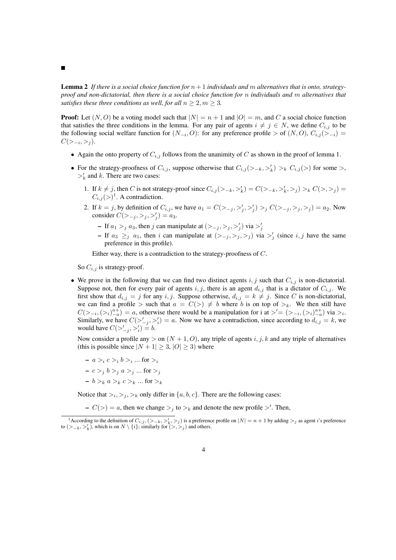$\blacksquare$ 

**Lemma 2** If there is a social choice function for  $n + 1$  individuals and m alternatives that is onto, strategy*proof and non-dictatorial, then there is a social choice function for* n *individuals and* m *alternatives that satisfies these three conditions as well, for all*  $n \geq 2, m \geq 3$ *.* 

**Proof:** Let  $(N, O)$  be a voting model such that  $|N| = n + 1$  and  $|O| = m$ , and C a social choice function that satisfies the three conditions in the lemma. For any pair of agents  $i \neq j \in N$ , we define  $C_{i,j}$  to be the following social welfare function for  $(N_{-i}, O)$ : for any preference profile > of  $(N, O), C_{i,j} (> -i)$  $C(\gt_{-i}, \gt_j).$ 

- Again the onto property of  $C_{i,j}$  follows from the unanimity of C as shown in the proof of lemma 1.
- For the strategy-proofness of  $C_{i,j}$ , suppose otherwise that  $C_{i,j}(\gt_{-k},\gt'_{k}) \gt_k C_{i,j}(\gt)$  for some  $\gt$ ,  $\gt'_{k}$  and k. There are two cases:
	- 1. If  $k \neq j$ , then C is not strategy-proof since  $C_{i,j} (>_{-k}, >_k') = C(>_{-k}, >_k', >_j) >_k C(>, >_j)$  $C_{i,j}(\gt)^1$ . A contradiction.
	- 2. If  $k = j$ , by definition of  $C_{i,j}$ , we have  $a_1 = C(\sum_{j} \sum_{j}^{j} \sum_{j}^{j}) >_j C(\sum_{j} \sum_{j}^{j} \sum_{j}^{j}) = a_2$ . Now consider  $C(>_{-j}, >_j, >'_j) = a_3$ .
		- If  $a_1 >_j a_3$ , then j can manipulate at  $(>_{-j}, >_j, >'_j)$  via  $>'_j$
		- If  $a_3 \geq_j a_1$ , then i can manipulate at  $(>_{-j}, >_j, >_j)$  via  $>'_j$  (since i, j have the same preference in this profile).

Either way, there is a contradiction to the strategy-proofness of C.

So  $C_{i,j}$  is strategy-proof.

• We prove in the following that we can find two distinct agents i, j such that  $C_{i,j}$  is non-dictatorial. Suppose not, then for every pair of agents i, j, there is an agent  $d_{i,j}$  that is a dictator of  $C_{i,j}$ . We first show that  $d_{i,j} = j$  for any  $i, j$ . Suppose otherwise,  $d_{i,j} = k \neq j$ . Since C is non-dictatorial, we can find a profile > such that  $a = C(\gt) \neq b$  where b is on top of  $\gt_k$ . We then still have  $C(\gt_{-i}, \left(\gt_i\right)_{-a}^{a+}) = a$ , otherwise there would be a manipulation for i at  $\gt' = (\gt_{-i}, \left(\gt_i\right)_{-a}^{a+})$  via  $\gt_i$ . Similarly, we have  $C(\gt_{-j}^{\prime}, \gt_i^{\prime}) = a$ . Now we have a contradiction, since according to  $d_{i,j} = k$ , we would have  $C(\geq'_{-j}, \geq'_i) = b$ .

Now consider a profile any  $>$  on  $(N + 1, 0)$ , any triple of agents i, j, k and any triple of alternatives (this is possible since  $|N + 1| \ge 3$ ,  $|O| \ge 3$ ) where

- $a >_i c >_i b >_i ...$  for  $>_i$
- $-c >_i b >_i a >_i ...$  for  $>_i$
- $b >_k a >_k c >_k ...$  for  $\geq_k$

Notice that  $\geq_i, \geq_j, \geq_k$  only differ in  $\{a, b, c\}$ . There are the following cases:

 $-C(>) = a$ , then we change  $>_j$  to  $>_k$  and denote the new profile  $>$ '. Then,

<sup>&</sup>lt;sup>1</sup> According to the definition of  $C_{i,j}$ ,  $(>_{-k}, >'_k, >_j)$  is a preference profile on  $|N| = n + 1$  by adding  $>_j$  as agent i's preference to  $(>_{-k}, >'_k)$ , which is on  $N \setminus \{i\}$ ; similarly for  $(>, >_j)$  and others.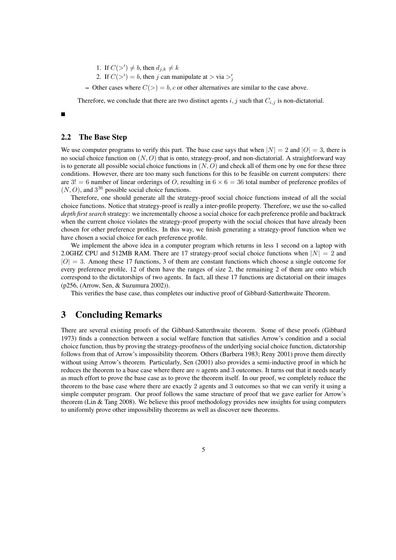1. If  $C(\gt') \neq b$ , then  $d_{j,k} \neq k$ 

2. If  $C(\gt') = b$ , then j can manipulate at  $> \text{via } \gt'_{j}$ 

– Other cases where  $C(>) = b$ , c or other alternatives are similar to the case above.

Therefore, we conclude that there are two distinct agents  $i, j$  such that  $C_{i,j}$  is non-dictatorial.

#### П

### 2.2 The Base Step

We use computer programs to verify this part. The base case says that when  $|N| = 2$  and  $|O| = 3$ , there is no social choice function on  $(N, O)$  that is onto, strategy-proof, and non-dictatorial. A straightforward way is to generate all possible social choice functions in  $(N, O)$  and check all of them one by one for these three conditions. However, there are too many such functions for this to be feasible on current computers: there are  $3! = 6$  number of linear orderings of O, resulting in  $6 \times 6 = 36$  total number of preference profiles of  $(N, O)$ , and  $3^{36}$  possible social choice functions.

Therefore, one should generate all the strategy-proof social choice functions instead of all the social choice functions. Notice that strategy-proof is really a inter-profile property. Therefore, we use the so-called *depth first search* strategy: we incrementally choose a social choice for each preference profile and backtrack when the current choice violates the strategy-proof property with the social choices that have already been chosen for other preference profiles. In this way, we finish generating a strategy-proof function when we have chosen a social choice for each preference profile.

We implement the above idea in a computer program which returns in less 1 second on a laptop with 2.0GHZ CPU and 512MB RAM. There are 17 strategy-proof social choice functions when  $|N| = 2$  and  $|O| = 3$ . Among these 17 functions, 3 of them are constant functions which choose a single outcome for every preference profile, 12 of them have the ranges of size 2, the remaining 2 of them are onto which correspond to the dictatorships of two agents. In fact, all these 17 functions are dictatorial on their images (p256, (Arrow, Sen, & Suzumura 2002)).

This verifies the base case, thus completes our inductive proof of Gibbard-Satterthwaite Theorem.

# 3 Concluding Remarks

There are several existing proofs of the Gibbard-Satterthwaite theorem. Some of these proofs (Gibbard 1973) finds a connection between a social welfare function that satisfies Arrow's condition and a social choice function, thus by proving the strategy-proofness of the underlying social choice function, dictatorship follows from that of Arrow's impossibility theorem. Others (Barbera 1983; Reny 2001) prove them directly without using Arrow's theorem. Particularly, Sen (2001) also provides a semi-inductive proof in which he reduces the theorem to a base case where there are  $n$  agents and 3 outcomes. It turns out that it needs nearly as much effort to prove the base case as to prove the theorem itself. In our proof, we completely reduce the theorem to the base case where there are exactly 2 agents and 3 outcomes so that we can verify it using a simple computer program. Our proof follows the same structure of proof that we gave earlier for Arrow's theorem (Lin & Tang 2008). We believe this proof methodology provides new insights for using computers to uniformly prove other impossibility theorems as well as discover new theorems.